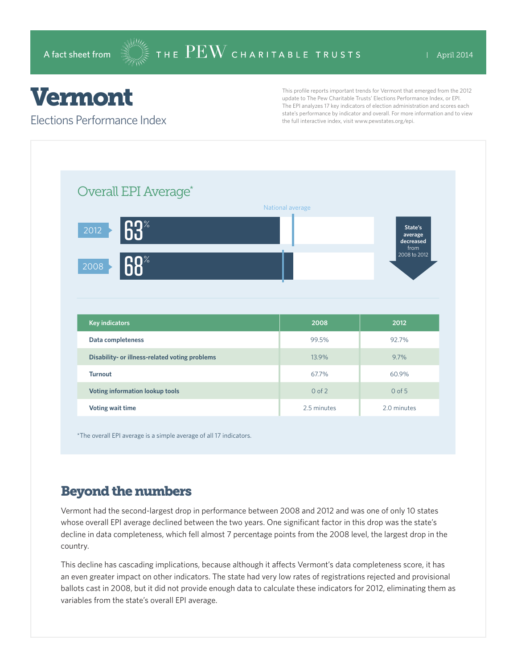## Vermont

Elections Performance Index

This profile reports important trends for Vermont that emerged from the 2012 update to The Pew Charitable Trusts' Elections Performance Index, or EPI. The EPI analyzes 17 key indicators of election administration and scores each state's performance by indicator and overall. For more information and to view the full interactive index, visit www.pewstates.org/epi.

| Overall EPI Average*                           |                  |                                         |
|------------------------------------------------|------------------|-----------------------------------------|
|                                                | National average |                                         |
| 63<br>2012                                     |                  | State's<br>average<br>decreased<br>from |
| $\overline{\mathsf{R}\mathsf{R}^*}$<br>2008    |                  | 2008 to 2012                            |
|                                                |                  |                                         |
|                                                |                  |                                         |
|                                                |                  |                                         |
| <b>Key indicators</b>                          | 2008             | 2012                                    |
| Data completeness                              | 99.5%            | 92.7%                                   |
| Disability- or illness-related voting problems | 13.9%            | 9.7%                                    |
| <b>Turnout</b>                                 | 67.7%            | 60.9%                                   |
| Voting information lookup tools                | $0$ of $2$       | $0$ of $5$                              |

\*The overall EPI average is a simple average of all 17 indicators.

## Beyond the numbers

Vermont had the second-largest drop in performance between 2008 and 2012 and was one of only 10 states whose overall EPI average declined between the two years. One significant factor in this drop was the state's decline in data completeness, which fell almost 7 percentage points from the 2008 level, the largest drop in the country.

This decline has cascading implications, because although it affects Vermont's data completeness score, it has an even greater impact on other indicators. The state had very low rates of registrations rejected and provisional ballots cast in 2008, but it did not provide enough data to calculate these indicators for 2012, eliminating them as variables from the state's overall EPI average.